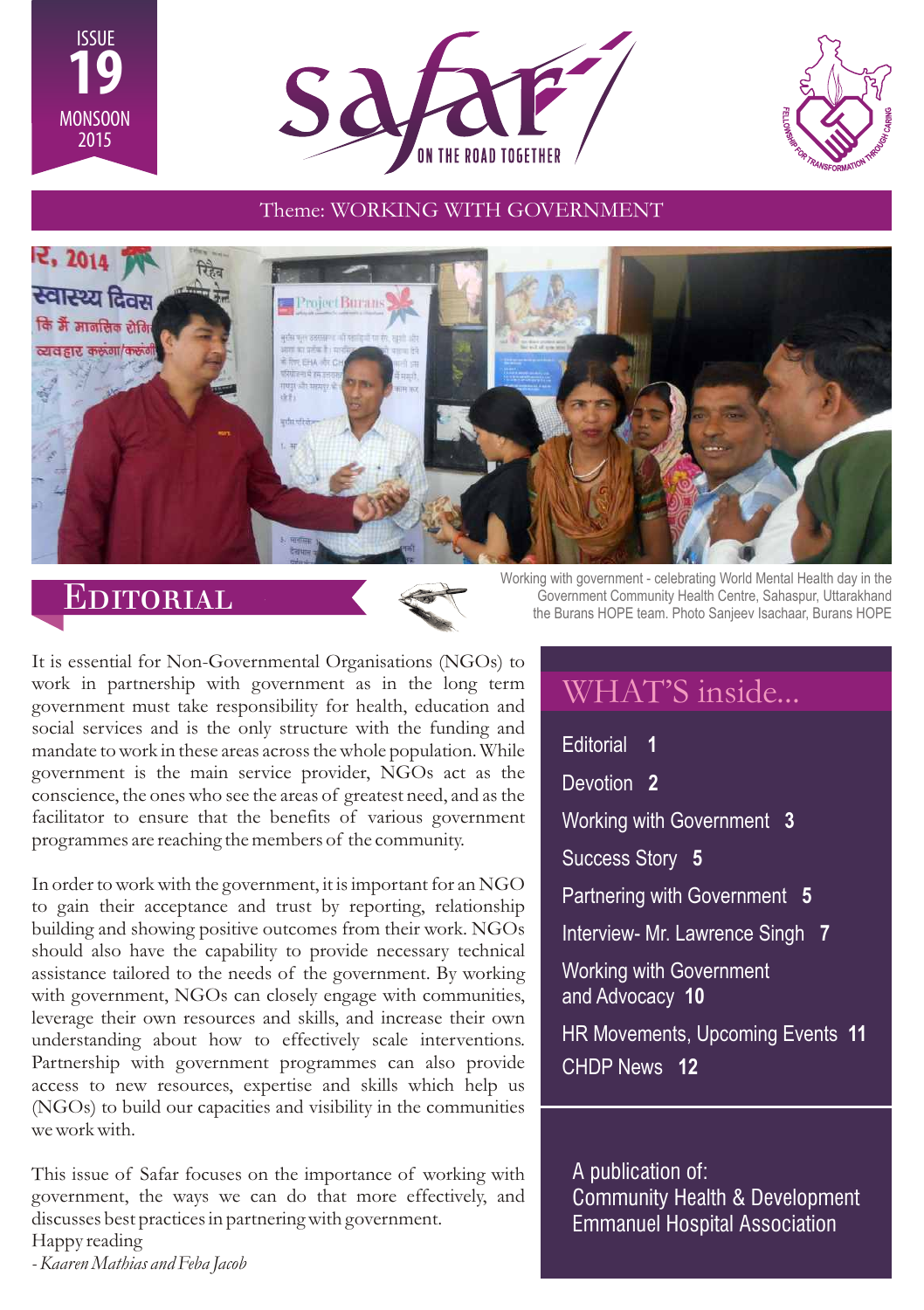





### Theme: WORKING WITH GOVERNMENT



# Editorial



It is essential for Non-Governmental Organisations (NGOs) to work in partnership with government as in the long term government must take responsibility for health, education and social services and is the only structure with the funding and mandate to work in these areas across the whole population. While government is the main service provider, NGOs act as the conscience, the ones who see the areas of greatest need, and as the facilitator to ensure that the benefits of various government programmes are reaching the members of the community.

In order to work with the government, it is important for an NGO to gain their acceptance and trust by reporting, relationship building and showing positive outcomes from their work. NGOs should also have the capability to provide necessary technical assistance tailored to the needs of the government. By working with government, NGOs can closely engage with communities, leverage their own resources and skills, and increase their own understanding about how to effectively scale interventions. Partnership with government programmes can also provide access to new resources, expertise and skills which help us (NGOs) to build our capacities and visibility in the communities we work with.

This issue of Safar focuses on the importance of working with government, the ways we can do that more effectively, and discusses best practices in partnering with government. Happy reading

Working with government - celebrating World Mental Health day in the Government Community Health Centre, Sahaspur, Uttarakhand the Burans HOPE team. Photo Sanjeev Isachaar, Burans HOPE

# WHAT'S inside...

Editorial **1** Devotion **2** Working with Government **3** Success Story **5** Partnering with Government **5** Interview- Mr. Lawrence Singh **7** Working with Government and Advocacy **10** HR Movements, Upcoming Events **11** CHDP News **12**

A publication of: Community Health & Development Emmanuel Hospital Association

*- Kaaren Mathias and Feba Jacob*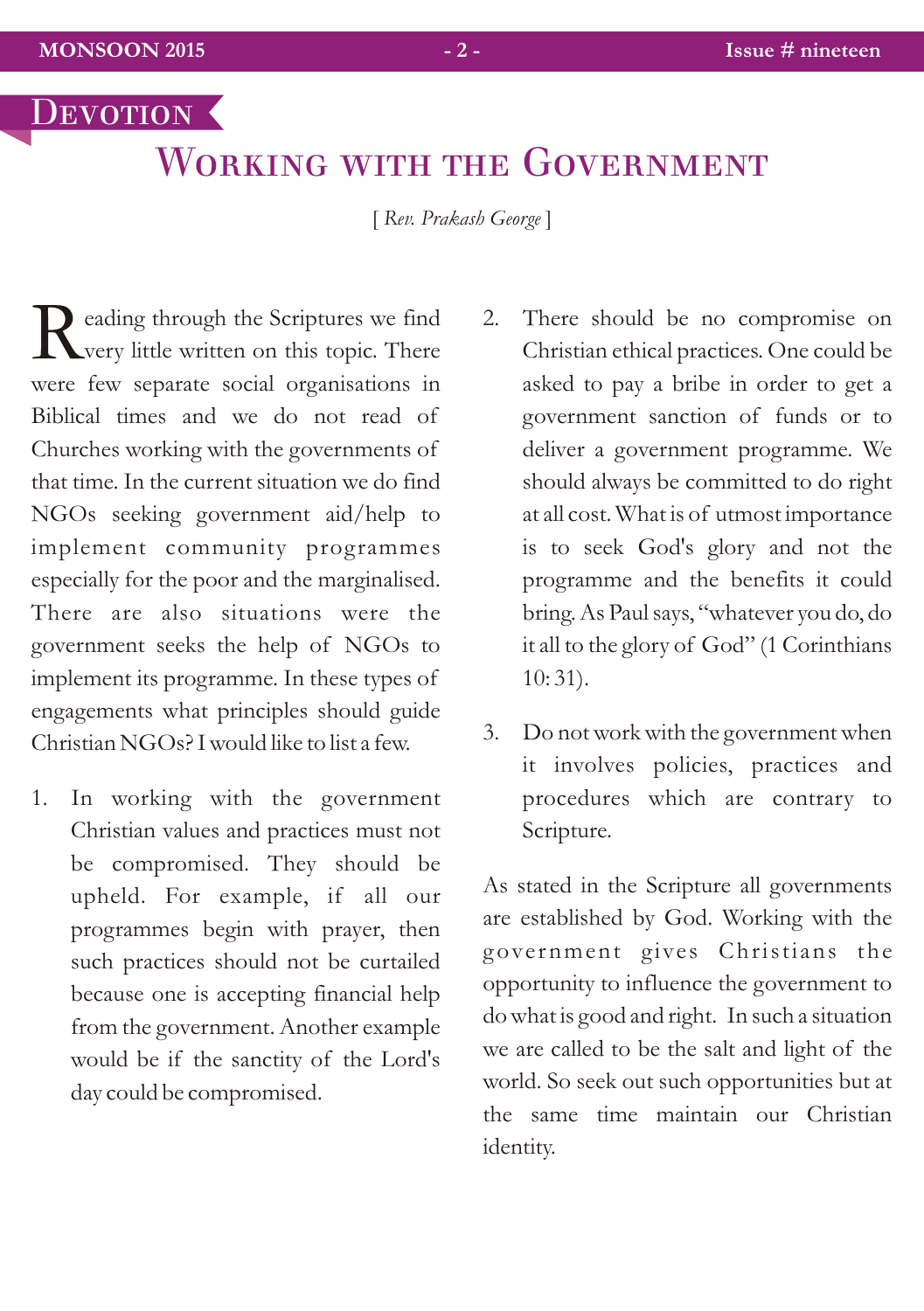# WORKING WITH THE GOVERNMENT

[ *Rev. Prakash George* ]

eading through the Scriptures we find<br>
Very little written on this topic. There were few separate social organisations in Biblical times and we do not read of Churches working with the governments of that time. In the current situation we do find NGOs seeking government aid/help to implement community programmes especially for the poor and the marginalised. There are also situations were the government seeks the help of NGOs to implement its programme. In these types of engagements what principles should guide Christian NGOs? I would like to list a few.

- 1. In working with the government Christian values and practices must not be compromised. They should be upheld. For example, if all our programmes begin with prayer, then such practices should not be curtailed because one is accepting financial help from the government. Another example would be if the sanctity of the Lord's day could be compromised.
- 2. There should be no compromise on Christian ethical practices. One could be asked to pay a bribe in order to get a government sanction of funds or to deliver a government programme. We should always be committed to do right at all cost. What is of utmost importance is to seek God's glory and not the programme and the benefits it could bring. As Paul says, "whatever you do, do it all to the glory of God" (1 Corinthians 10: 31).
- 3. Do not work with the government when it involves policies, practices and procedures which are contrary to Scripture.

As stated in the Scripture all governments are established by God. Working with the government gives Christians the opportunity to influence the government to do what is good and right. In such a situation we are called to be the salt and light of the world. So seek out such opportunities but at the same time maintain our Christian identity.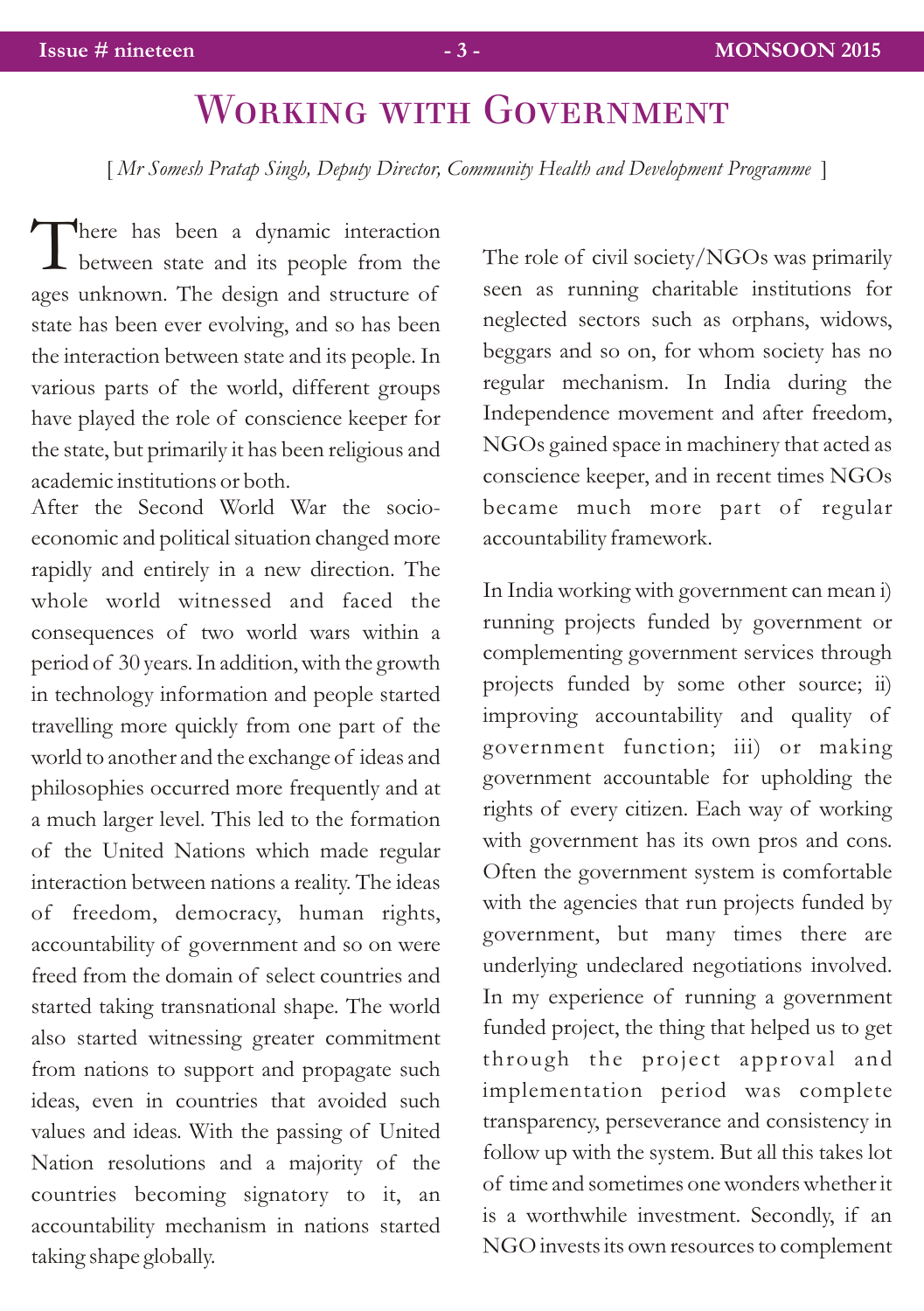# WORKING WITH GOVERNMENT

[ *Mr Somesh Pratap Singh, Deputy Director, Community Health and Development Programme* ]

There has been a dynamic interaction<br>between state and its people from the ages unknown. The design and structure of state has been ever evolving, and so has been the interaction between state and its people. In various parts of the world, different groups have played the role of conscience keeper for the state, but primarily it has been religious and academic institutions or both.

After the Second World War the socioeconomic and political situation changed more rapidly and entirely in a new direction. The whole world witnessed and faced the consequences of two world wars within a period of 30 years. In addition, with the growth in technology information and people started travelling more quickly from one part of the world to another and the exchange of ideas and philosophies occurred more frequently and at a much larger level. This led to the formation of the United Nations which made regular interaction between nations a reality. The ideas of freedom, democracy, human rights, accountability of government and so on were freed from the domain of select countries and started taking transnational shape. The world also started witnessing greater commitment from nations to support and propagate such ideas, even in countries that avoided such values and ideas. With the passing of United Nation resolutions and a majority of the countries becoming signatory to it, an accountability mechanism in nations started taking shape globally.

The role of civil society/NGOs was primarily seen as running charitable institutions for neglected sectors such as orphans, widows, beggars and so on, for whom society has no regular mechanism. In India during the Independence movement and after freedom, NGOs gained space in machinery that acted as conscience keeper, and in recent times NGOs became much more part of regular accountability framework.

In India working with government can mean i) running projects funded by government or complementing government services through projects funded by some other source; ii) improving accountability and quality of government function; iii) or making government accountable for upholding the rights of every citizen. Each way of working with government has its own pros and cons. Often the government system is comfortable with the agencies that run projects funded by government, but many times there are underlying undeclared negotiations involved. In my experience of running a government funded project, the thing that helped us to get through the project approval and implementation period was complete transparency, perseverance and consistency in follow up with the system. But all this takes lot of time and sometimes one wonders whether it is a worthwhile investment. Secondly, if an NGO invests its own resources to complement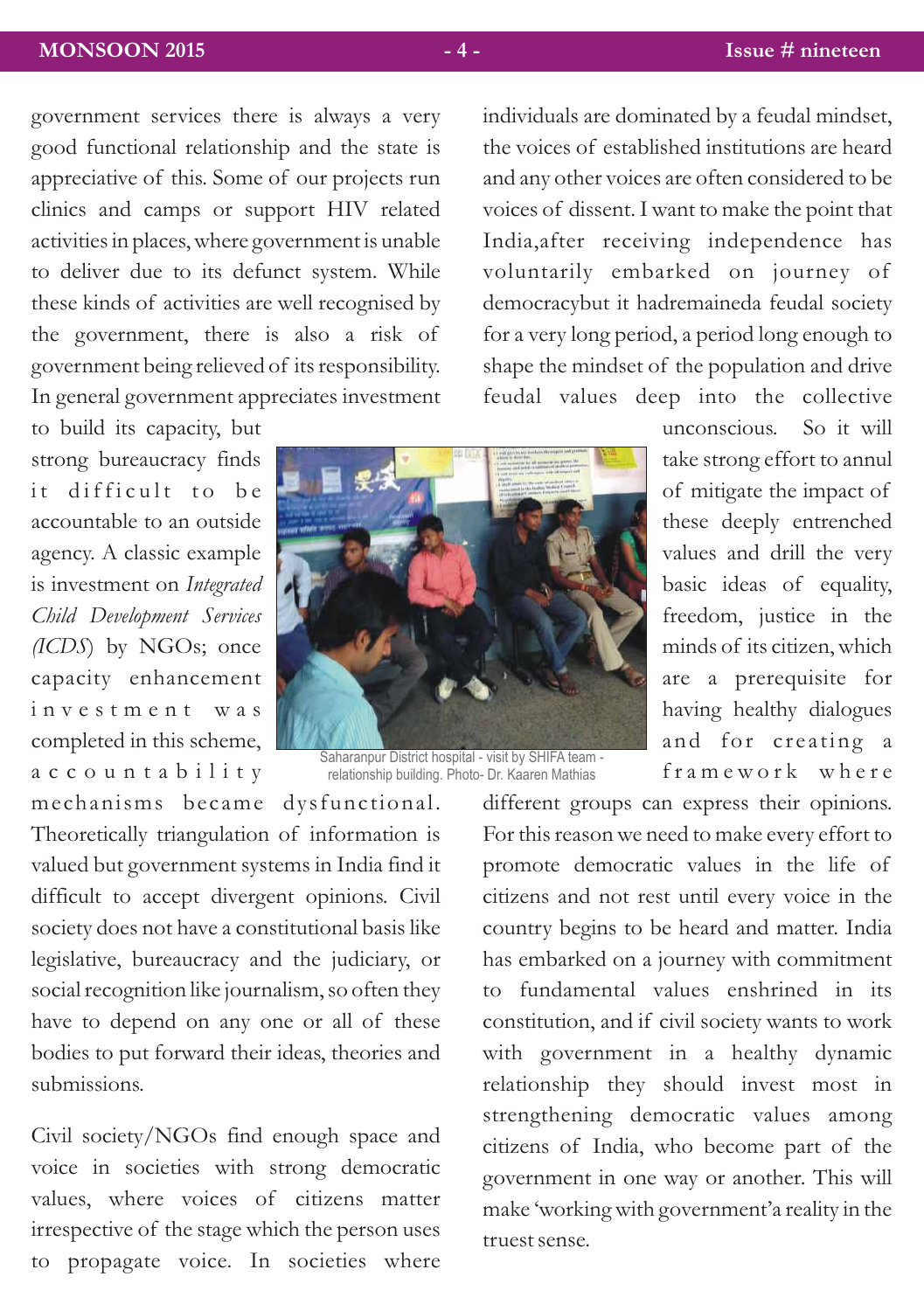## **MONSOON 2015 - 4 - Issue # nineteen**

government services there is always a very good functional relationship and the state is appreciative of this. Some of our projects run clinics and camps or support HIV related activities in places, where government is unable to deliver due to its defunct system. While these kinds of activities are well recognised by the government, there is also a risk of government being relieved of its responsibility. In general government appreciates investment

to build its capacity, but strong bureaucracy finds it difficult to be accountable to an outside agency. A classic example is investment on *Integrated Child Development Services (ICDS*) by NGOs; once capacity enhancement i n v e s t m e n t w a s completed in this scheme, a c c o u n t a b i l i t y

Saharanpur District hospital - visit by SHIFA team - relationship building. Photo- Dr. Kaaren Mathias

me chanisms became dysfunctional. Theoretically triangulation of information is valued but government systems in India find it difficult to accept divergent opinions. Civil society does not have a constitutional basis like legislative, bureaucracy and the judiciary, or social recognition like journalism, so often they have to depend on any one or all of these bodies to put forward their ideas, theories and submissions.

Civil society/NGOs find enough space and voice in societies with strong democratic values, where voices of citizens matter irrespective of the stage which the person uses to propagate voice. In societies where

individuals are dominated by a feudal mindset, the voices of established institutions are heard and any other voices are often considered to be voices of dissent. I want to make the point that India,after receiving independence has voluntarily embarked on journey of democracybut it hadremaineda feudal society for a very long period, a period long enough to shape the mindset of the population and drive feudal values deep into the collective

> unconscious. So it will take strong effort to annul of mitigate the impact of these deeply entrenched values and drill the very basic ideas of equality, freedom, justice in the minds of its citizen, which are a prerequisite for having healthy dialogues and for creating a framework where

different groups can express their opinions. For this reason we need to make every effort to promote democratic values in the life of citizens and not rest until every voice in the country begins to be heard and matter. India has embarked on a journey with commitment to fundamental values enshrined in its constitution, and if civil society wants to work with government in a healthy dynamic relationship they should invest most in strengthening democratic values among citizens of India, who become part of the government in one way or another. This will make 'working with government'a reality in the truest sense.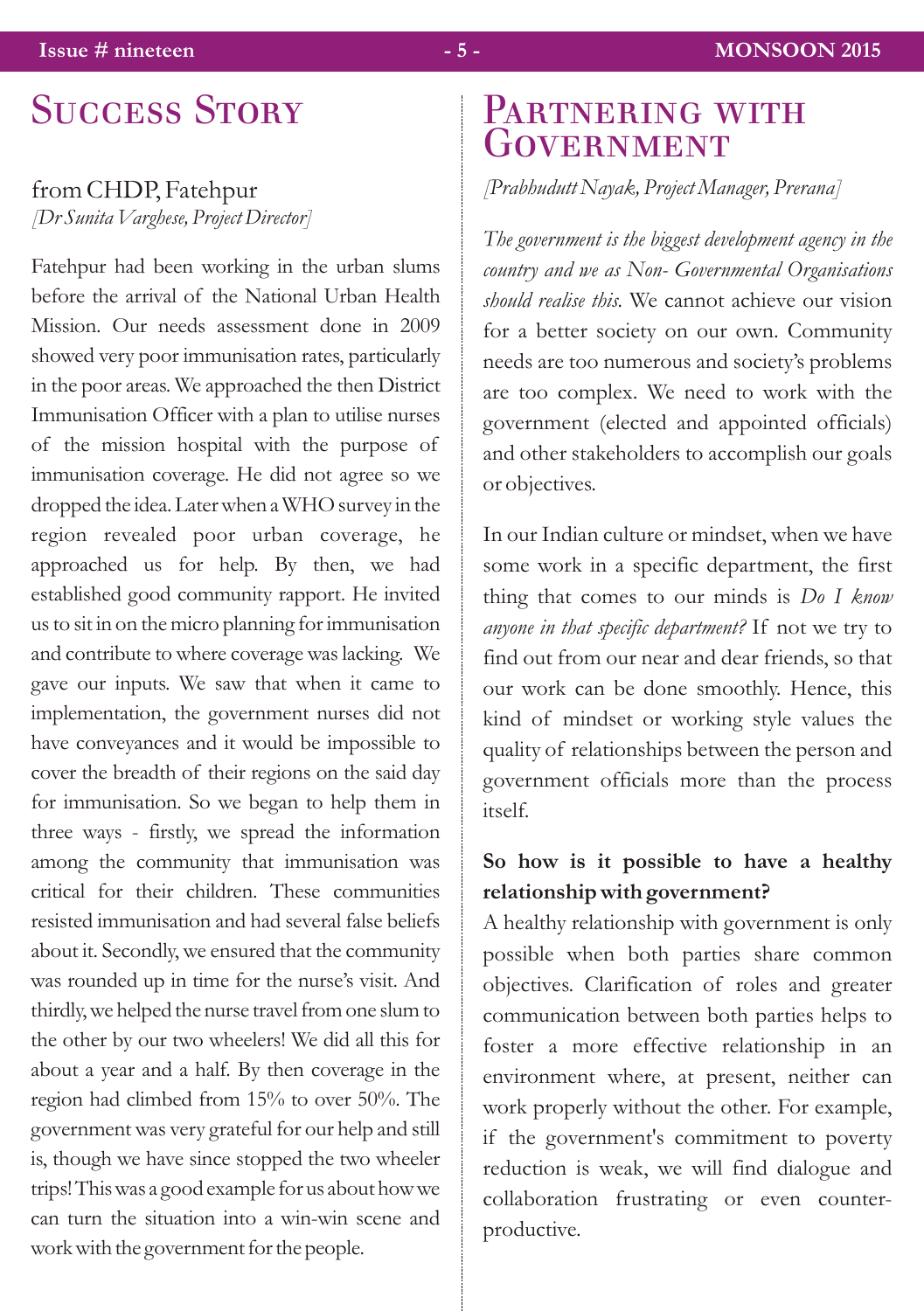## from CHDP, Fatehpur *[Dr Sunita Varghese, Project Director]*

Fatehpur had been working in the urban slums before the arrival of the National Urban Health Mission. Our needs assessment done in 2009 showed very poor immunisation rates, particularly in the poor areas. We approached the then District Immunisation Officer with a plan to utilise nurses of the mission hospital with the purpose of immunisation coverage. He did not agree so we dropped the idea. Later when a WHO survey in the region revealed poor urban coverage, he approached us for help. By then, we had established good community rapport. He invited usto sit in on themicro planning forimmunisation and contribute to where coverage was lacking. We gave our inputs. We saw that when it came to implementation, the government nurses did not have conveyances and it would be impossible to cover the breadth of their regions on the said day for immunisation. So we began to help them in three ways - firstly, we spread the information among the community that immunisation was critical for their children. These communities resisted immunisation and had several false beliefs about it. Secondly, we ensured that the community was rounded up in time for the nurse's visit. And thirdly, we helped the nurse travel from one slum to the other by our two wheelers! We did all this for about a year and a half. By then coverage in the region had climbed from 15% to over 50%. The government was very grateful for our help and still is, though we have since stopped the two wheeler trips!Thiswas a good example for us abouthowwe can turn the situation into a win-win scene and work with the government for the people.

# SUCCESS STORY PARTNERING WITH **GOVERNMENT**

## *[Prabhudutt Nayak, Project Manager, Prerana]*

*The government is the biggest development agency in the country and we as Non- Governmental Organisations should realise this.* We cannot achieve our vision for a better society on our own. Community needs are too numerous and society's problems are too complex. We need to work with the government (elected and appointed officials) and other stakeholders to accomplish our goals or objectives.

In our Indian culture or mindset, when we have some work in a specific department, the first thing that comes to our minds is *Do I know anyone in that specific department?* If not we try to find out from our near and dear friends, so that our work can be done smoothly. Hence, this kind of mindset or working style values the quality of relationships between the person and government officials more than the process itself.

# **So how is it possible to have a healthy relationship with government?**

A healthy relationship with government is only possible when both parties share common objectives. Clarification of roles and greater communication between both parties helps to foster a more effective relationship in an environment where, at present, neither can work properly without the other. For example, if the government's commitment to poverty reduction is weak, we will find dialogue and collaboration frustrating or even counterproductive.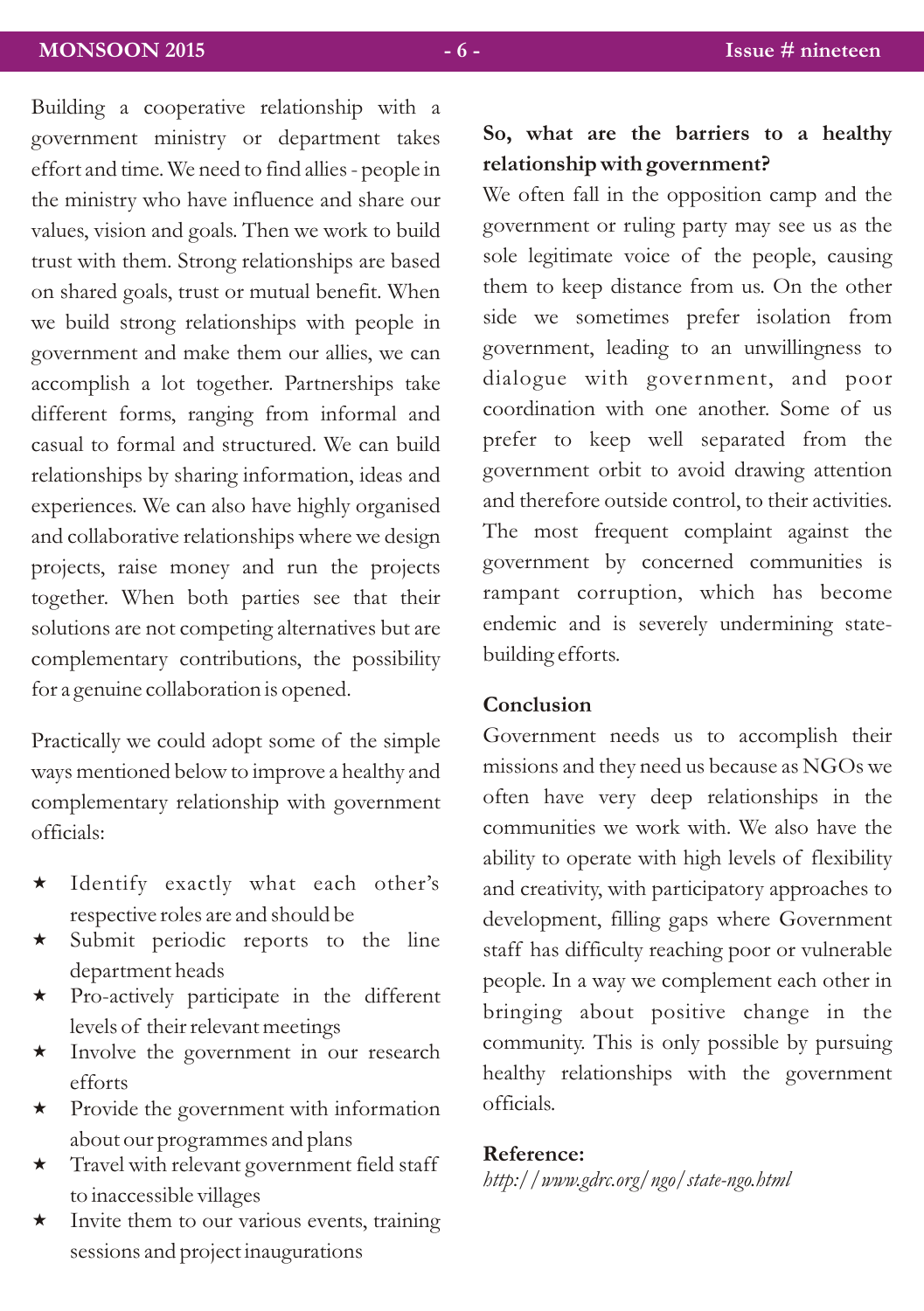Building a cooperative relationship with a government ministry or department takes effort and time. We need to find allies - people in the ministry who have influence and share our values, vision and goals. Then we work to build trust with them. Strong relationships are based on shared goals, trust or mutual benefit. When we build strong relationships with people in government and make them our allies, we can accomplish a lot together. Partnerships take different forms, ranging from informal and casual to formal and structured. We can build relationships by sharing information, ideas and experiences. We can also have highly organised and collaborative relationships where we design projects, raise money and run the projects together. When both parties see that their solutions are not competing alternatives but are complementary contributions, the possibility for a genuine collaboration is opened.

Practically we could adopt some of the simple ways mentioned below to improve a healthy and complementary relationship with government officials:

- $\star$  Identify exactly what each other's respective roles are and should be
- \* Submit periodic reports to the line department heads
- \* Pro-actively participate in the different levels of their relevant meetings
- \* Involve the government in our research efforts
- \* Provide the government with information about our programmes and plans
- \* Travel with relevant government field staff to inaccessible villages
- $\star$  Invite them to our various events, training sessions and project inaugurations

## **So, what are the barriers to a healthy relationship with government?**

We often fall in the opposition camp and the government or ruling party may see us as the sole legitimate voice of the people, causing them to keep distance from us. On the other side we sometimes prefer isolation from government, leading to an unwillingness to dialogue with government, and poor coordination with one another. Some of us prefer to keep well separated from the government orbit to avoid drawing attention and therefore outside control, to their activities. The most frequent complaint against the government by concerned communities is rampant corruption, which has become endemic and is severely undermining statebuilding efforts.

## **Conclusion**

Government needs us to accomplish their missions and they need us because as NGOs we often have very deep relationships in the communities we work with. We also have the ability to operate with high levels of flexibility and creativity, with participatory approaches to development, filling gaps where Government staff has difficulty reaching poor or vulnerable people. In a way we complement each other in bringing about positive change in the community. This is only possible by pursuing healthy relationships with the government officials.

### **Reference:**

*http://www.gdrc.org/ngo/state-ngo.html*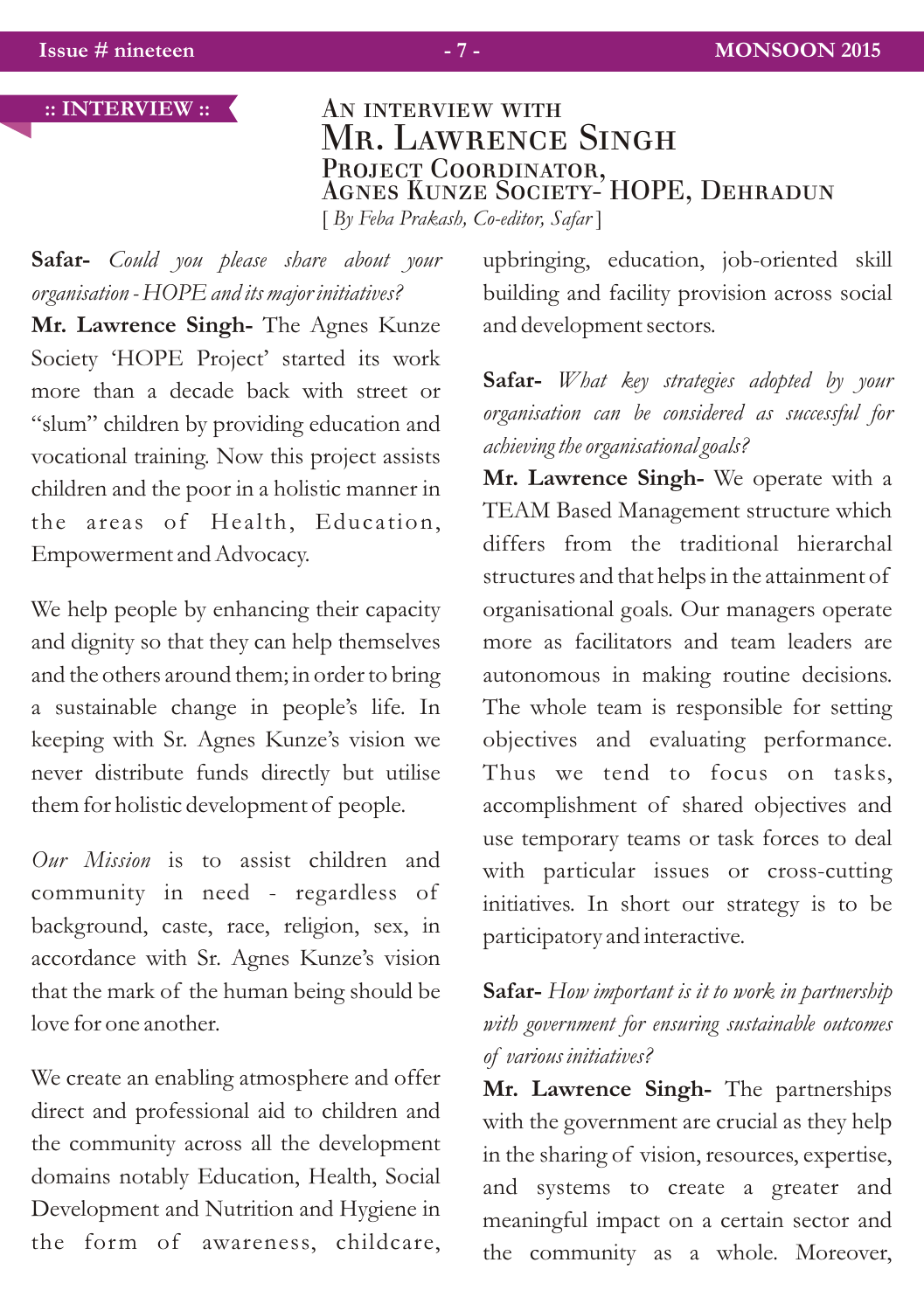### **:: INTERVIEW ::**

AN INTERVIEW WITH Mr. Lawrence Singh Projec<u>t</u> Coordinator, Agnes Kunze Society- HOPE, Dehradun [ *By Feba Prakash, Co-editor, Safar* ]

**Safar-** *Could you please share about your organisation - HOPE and its major initiatives?*

**Mr. Lawrence Singh-** The Agnes Kunze Society 'HOPE Project' started its work more than a decade back with street or "slum" children by providing education and vocational training. Now this project assists children and the poor in a holistic manner in the areas of Health, Education, Empowerment and Advocacy.

We help people by enhancing their capacity and dignity so that they can help themselves and the others around them; in order to bring a sustainable change in people's life. In keeping with Sr. Agnes Kunze's vision we never distribute funds directly but utilise them for holistic development of people.

*Our Mission* is to assist children and community in need - regardless of background, caste, race, religion, sex, in accordance with Sr. Agnes Kunze's vision that the mark of the human being should be love for one another.

We create an enabling atmosphere and offer direct and professional aid to children and the community across all the development domains notably Education, Health, Social Development and Nutrition and Hygiene in the form of awareness, childcare, upbringing, education, job-oriented skill building and facility provision across social and development sectors.

**Safar-** *What key strategies adopted by your organisation can be considered as successful for achieving the organisational goals?*

**Mr. Lawrence Singh-** We operate with a TEAM Based Management structure which differs from the traditional hierarchal structures and that helps in the attainment of organisational goals. Our managers operate more as facilitators and team leaders are autonomous in making routine decisions. The whole team is responsible for setting objectives and evaluating performance. Thus we tend to focus on tasks, accomplishment of shared objectives and use temporary teams or task forces to deal with particular issues or cross-cutting initiatives. In short our strategy is to be participatory and interactive.

# **Safar-** *How important is it to work in partnership with government for ensuring sustainable outcomes of various initiatives?*

**Mr. Lawrence Singh-** The partnerships with the government are crucial as they help in the sharing of vision, resources, expertise, and systems to create a greater and meaningful impact on a certain sector and the community as a whole. Moreover,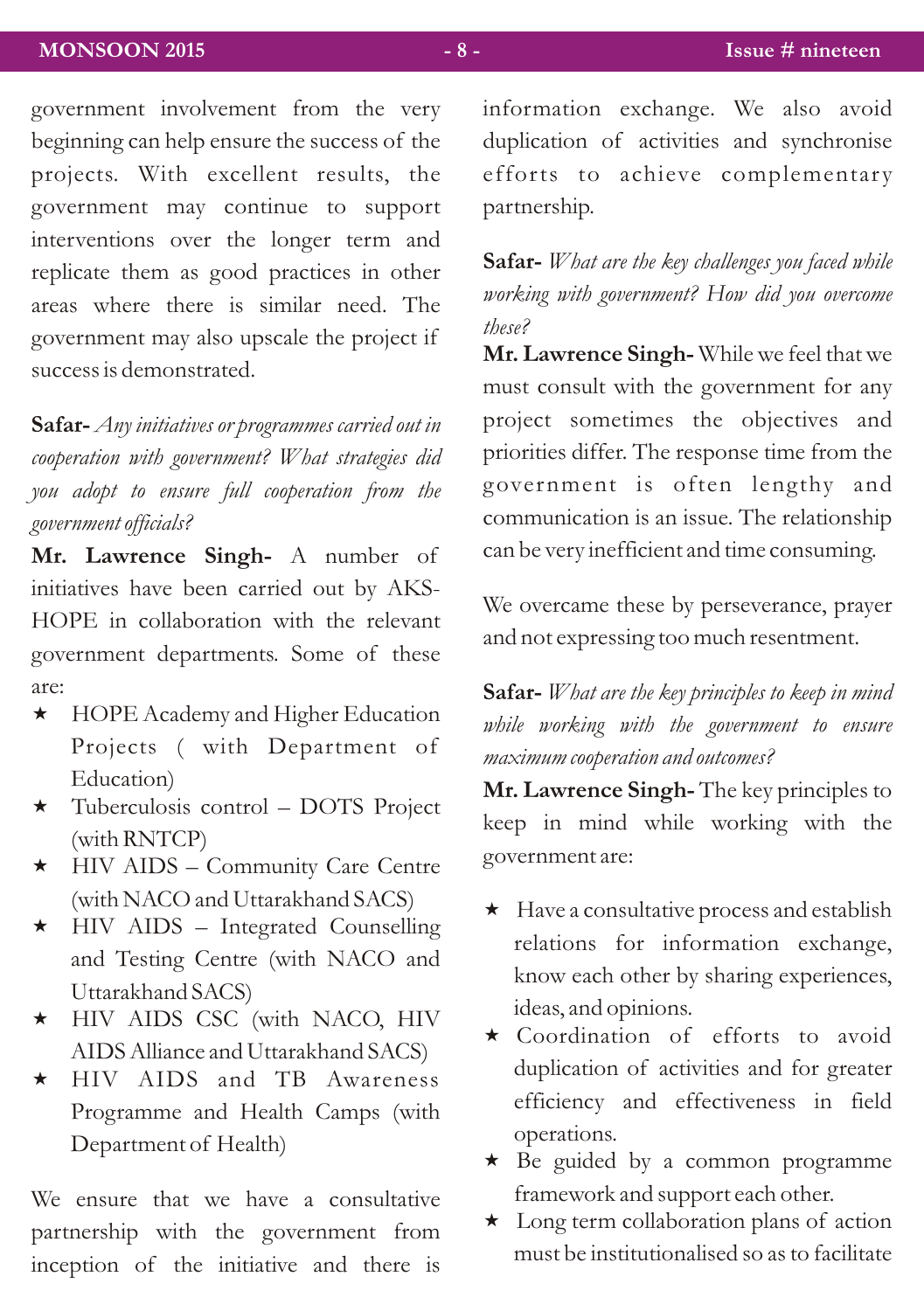government involvement from the very beginning can help ensure the success of the projects. With excellent results, the government may continue to support interventions over the longer term and replicate them as good practices in other areas where there is similar need. The government may also upscale the project if success is demonstrated.

**Safar-** *Any initiatives or programmes carried out in cooperation with government? What strategies did you adopt to ensure full cooperation from the government officials?*

**Mr. Lawrence Singh-** A number of initiatives have been carried out by AKS-HOPE in collaboration with the relevant government departments. Some of these are:

- \* HOPE Academy and Higher Education Projects ( with Department of Education)
- \* Tuberculosis control DOTS Project (with RNTCP)
- \* HIV AIDS Community Care Centre (with NACO and Uttarakhand SACS)
- \* HIV AIDS Integrated Counselling and Testing Centre (with NACO and Uttarakhand SACS)
- « HIV AIDS CSC (with NACO, HIV AIDS Alliance and Uttarakhand SACS)
- \* HIV AIDS and TB Awareness Programme and Health Camps (with Department of Health)

We ensure that we have a consultative partnership with the government from inception of the initiative and there is information exchange. We also avoid duplication of activities and synchronise efforts to achieve complementary partnership.

**Safar-** *What are the key challenges you faced while working with government? How did you overcome these?*

**Mr. Lawrence Singh-** While we feel that we must consult with the government for any project sometimes the objectives and priorities differ. The response time from the government is often lengthy and communication is an issue. The relationship can be very inefficient and time consuming.

We overcame these by perseverance, prayer and not expressing too much resentment.

**Safar-** *What are the key principles to keep in mind while working with the government to ensure maximum cooperation and outcomes?* 

**Mr. Lawrence Singh-** The key principles to keep in mind while working with the government are:

- $\star$  Have a consultative process and establish relations for information exchange, know each other by sharing experiences, ideas, and opinions.
- \* Coordination of efforts to avoid duplication of activities and for greater efficiency and effectiveness in field operations.
- \* Be guided by a common programme framework and support each other.
- \* Long term collaboration plans of action must be institutionalised so as to facilitate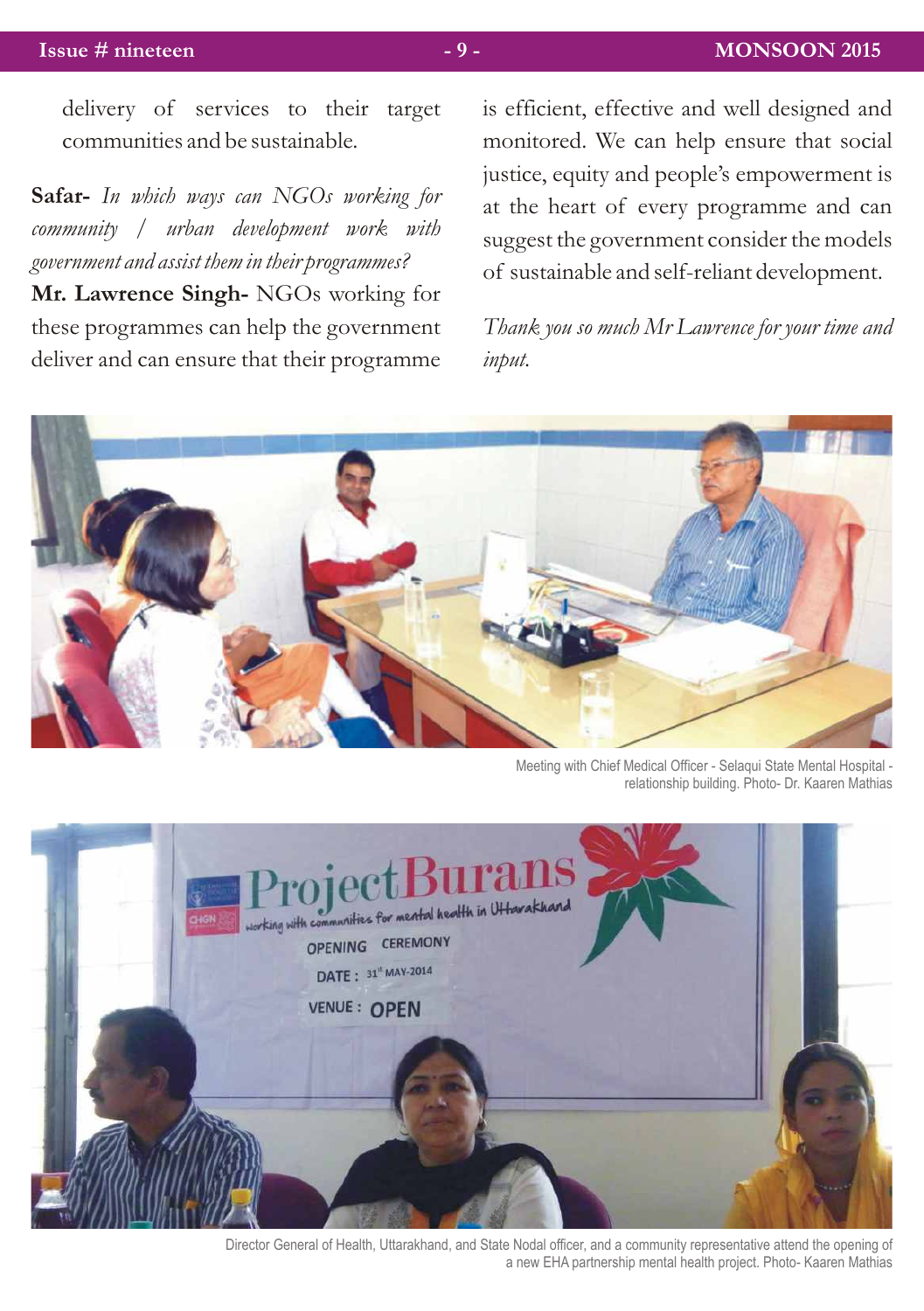delivery of services to their target communities and be sustainable.

**Safar-** *In which ways can NGOs working for community / urban development work with government and assist them in their programmes?*

**Mr. Lawrence Singh-** NGOs working for these programmes can help the government deliver and can ensure that their programme

is efficient, effective and well designed and monitored. We can help ensure that social justice, equity and people's empowerment is at the heart of every programme and can suggest the government consider the models of sustainable and self-reliant development.

*Thank you so much Mr Lawrence for your time and input.*



Meeting with Chief Medical Officer - Selaqui State Mental Hospital relationship building. Photo- Dr. Kaaren Mathias



Director General of Health, Uttarakhand, and State Nodal officer, and a community representative attend the opening of a new EHA partnership mental health project. Photo- Kaaren Mathias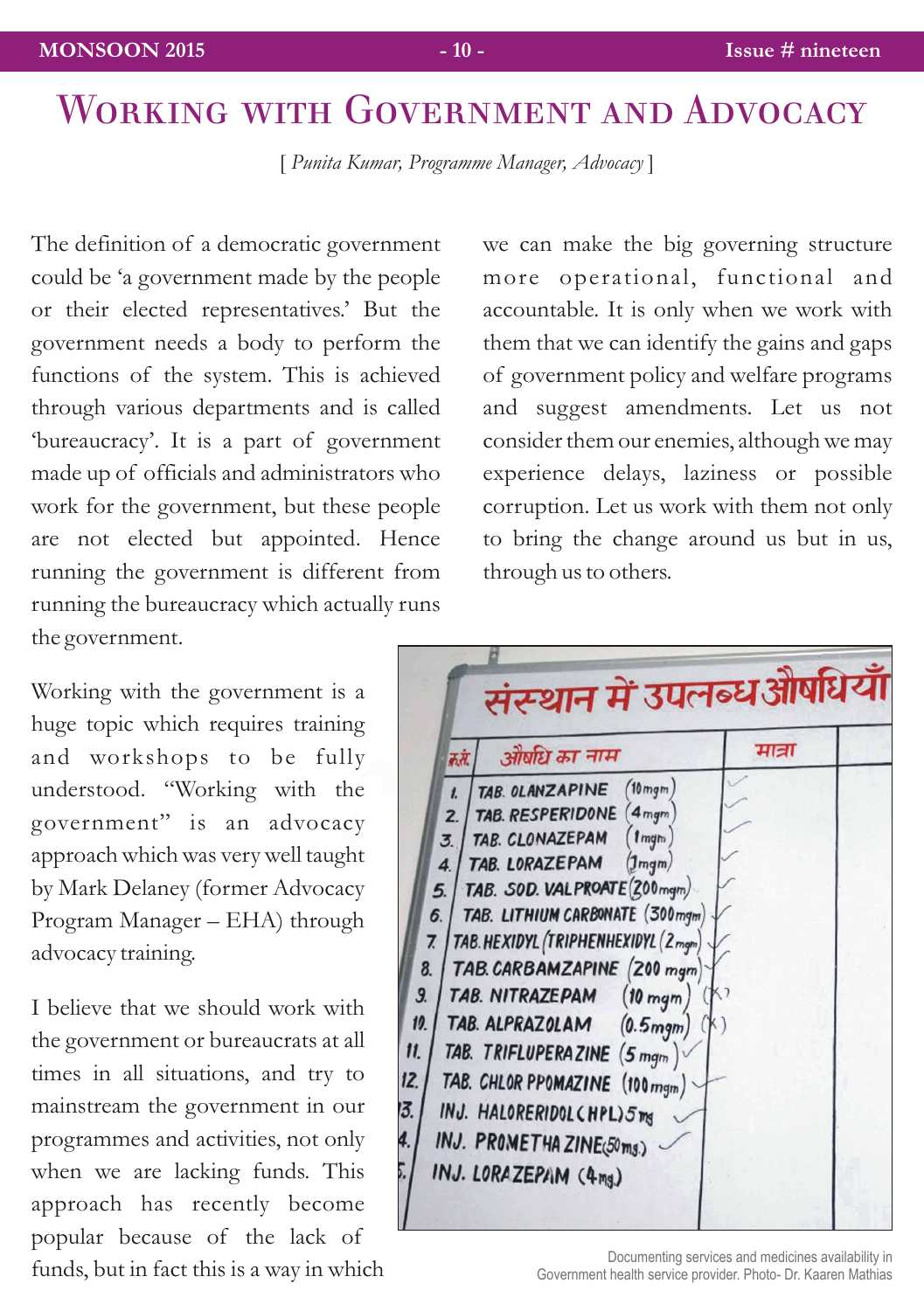[ *Punita Kumar, Programme Manager, Advocacy* ]

The definition of a democratic government could be 'a government made by the people or their elected representatives.' But the government needs a body to perform the functions of the system. This is achieved through various departments and is called 'bureaucracy'. It is a part of government made up of officials and administrators who work for the government, but these people are not elected but appointed. Hence running the government is different from running the bureaucracy which actually runs the government.

Working with the government is a huge topic which requires training and workshops to be fully understood. "Working with the government" is an advocacy approach which was very well taught by Mark Delaney (former Advocacy Program Manager – EHA) through advocacy training.

I believe that we should work with the government or bureaucrats at all times in all situations, and try to mainstream the government in our programmes and activities, not only when we are lacking funds. This approach has recently become popular because of the lack of funds, but in fact this is a way in which we can make the big governing structure more operational, functional and accountable. It is only when we work with them that we can identify the gains and gaps of government policy and welfare programs and suggest amendments. Let us not consider them our enemies, although we may experience delays, laziness or possible corruption. Let us work with them not only to bring the change around us but in us, through us to others.

| औषधि का नाम<br>क.सं.                                                                                                                                                                                                                                                                                                                                                                                                                                                                                                                                                                                                           | मात्रा |  |
|--------------------------------------------------------------------------------------------------------------------------------------------------------------------------------------------------------------------------------------------------------------------------------------------------------------------------------------------------------------------------------------------------------------------------------------------------------------------------------------------------------------------------------------------------------------------------------------------------------------------------------|--------|--|
| 10 mgm<br>TAB. OLANZAPINE<br>$\mathbf{L}$<br>4 <sub>mgm</sub><br>TAB. RESPERIDONE<br>2.<br>$(n_{\text{mgm}})$<br>TAB. CLONAZEPAM<br>3.<br>TAB. LORAZEPAM<br>$(1)$ mgm $/$<br>$\overline{4}$<br>TAB. SOD. VALPROATE (200 mgm)<br>5.<br>TAB. LITHIUM CARBONATE (300 mgm)<br>6.<br>TAB. HEXIDYL (TRIPHENHEXIDYL (2mgm)<br>7<br>TAB. CARBAMZAPINE (200 mgm)<br>8.<br>9.<br>TAB. NITRAZEPAM<br>$(10$ mgm<br>10.<br>TAB. ALPRAZOLAM (0.5mgm)<br>$\mathbf{11}$<br>TAB. TRIFLUPERAZINE (5 mgm)<br>12.<br>TAB. CHLOR PPOMAZINE (100 mgm)<br>13.<br>INJ. HALORERIDOL CHPL) 5mg<br>4.<br>INJ. PROMETHAZINE(50ms.)<br>INJ. LORAZEPAM (4mg) |        |  |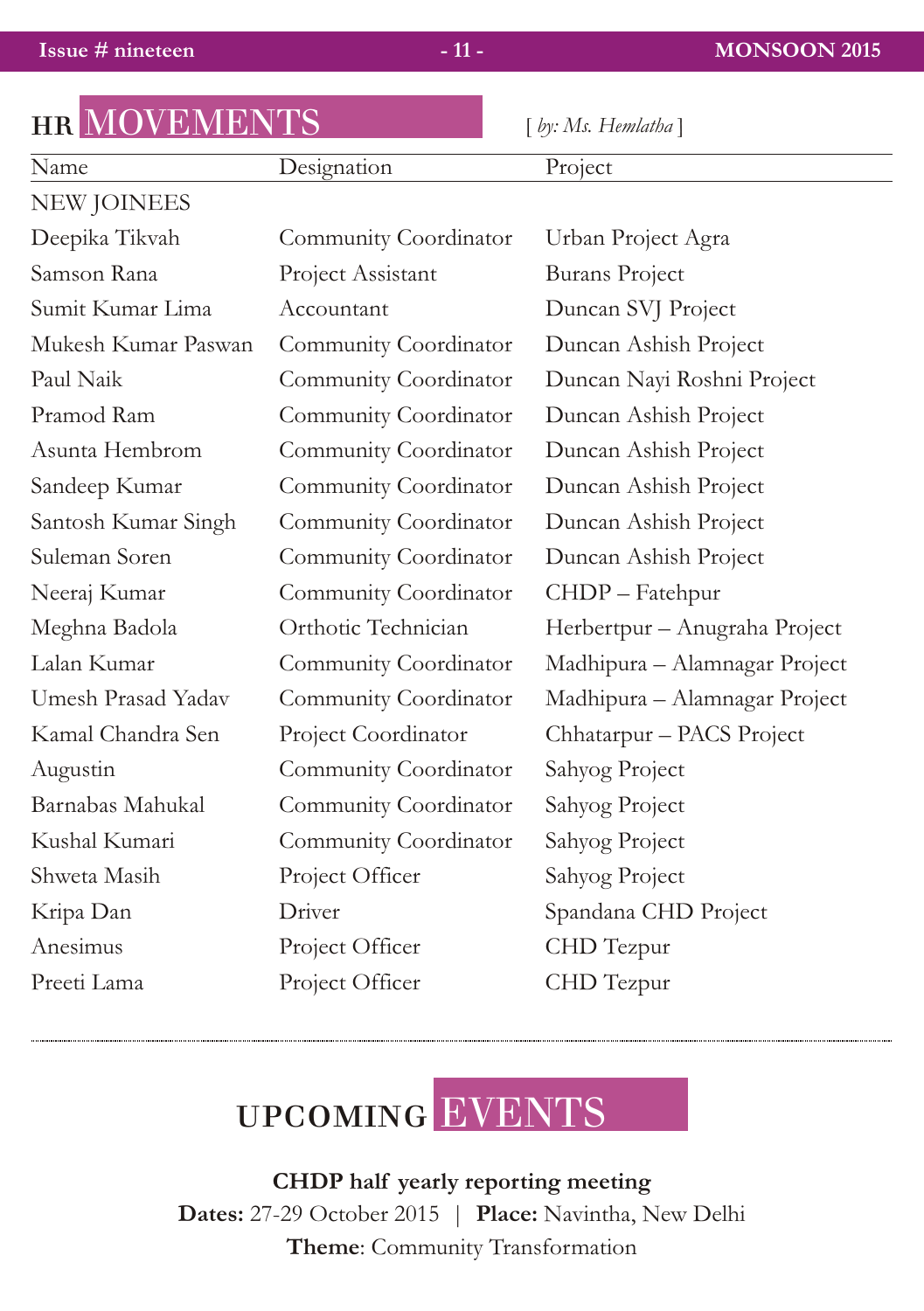hr MOVEMENTS [ *by: Ms. Hemlatha* ]

|                       | $ v\rangle$ . 1815. 1 10 <i>muunu</i> |
|-----------------------|---------------------------------------|
| Designation           | Project                               |
|                       |                                       |
| Community Coordinator | Urban Project Agra                    |
| Project Assistant     | <b>Burans Project</b>                 |
| Accountant            | Duncan SVJ Project                    |
| Community Coordinator | Duncan Ashish Project                 |
| Community Coordinator | Duncan Nayi Roshni Project            |
| Community Coordinator | Duncan Ashish Project                 |
| Community Coordinator | Duncan Ashish Project                 |
| Community Coordinator | Duncan Ashish Project                 |
| Community Coordinator | Duncan Ashish Project                 |
| Community Coordinator | Duncan Ashish Project                 |
| Community Coordinator | CHDP - Fatehpur                       |
| Orthotic Technician   | Herbertpur - Anugraha Project         |
| Community Coordinator | Madhipura - Alamnagar Project         |
| Community Coordinator | Madhipura - Alamnagar Project         |
| Project Coordinator   | Chhatarpur - PACS Project             |
| Community Coordinator | Sahyog Project                        |
| Community Coordinator | Sahyog Project                        |
| Community Coordinator | Sahyog Project                        |
| Project Officer       | Sahyog Project                        |
| Driver                | Spandana CHD Project                  |
| Project Officer       | CHD Tezpur                            |
| Project Officer       | CHD Tezpur                            |
|                       | ШЦ ТУГО У ЕЛУНЕН У ТО                 |



**CHDP half yearly reporting meeting Dates:** 27-29 October 2015 | **Place:** Navintha, New Delhi **Theme**: Community Transformation